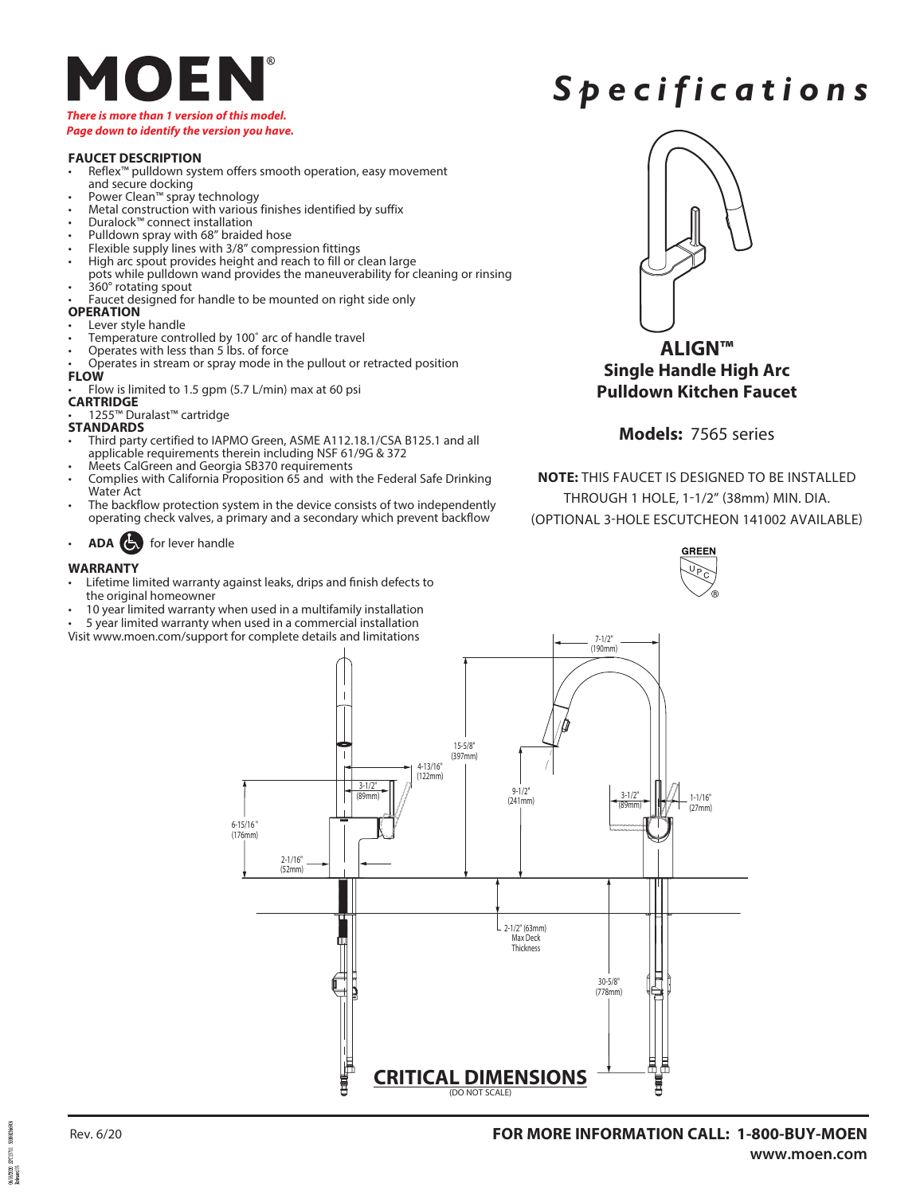

#### *Page down to identify the version you have.*

#### **FAUCET DESCRIPTION**

- Reflex™ pulldown system offers smooth operation, easy movement and secure docking
- Power Clean™ spray technology
- Metal construction with various finishes identified by suffix
- Duralock™ connect installation
- Pulldown spray with 68" braided hose
- Flexible supply lines with 3/8" compression fittings
- High arc spout provides height and reach to fill or clean large pots while pulldown wand provides the maneuverability for cleaning or rinsing • 360° rotating spout
- Faucet designed for handle to be mounted on right side only

#### **OPERATION**

- Lever style handle
- Temperature controlled by 100° arc of handle travel
- Operates with less than 5 lbs. of force
- Operates in stream or spray mode in the pullout or retracted position **FLOW**
- Flow is limited to 1.5 gpm (5.7 L/min) max at 60 psi
- **CARTRIDGE**
- 1255™ Duralast™ cartridge

### **STANDARDS**

- Third party certified to IAPMO Green, ASME A112.18.1/CSA B125.1 and all applicable requirements therein including NSF 61/9G & 372
- Meets CalGreen and Georgia SB370 requirements
- Complies with California Proposition 65 and with the Federal Safe Drinking Water Act
- The backflow protection system in the device consists of two independently operating check valves, a primary and a secondary which prevent backflow
- **ADA** for lever handle

#### **WARRANTY**

- Lifetime limited warranty against leaks, drips and finish defects to the original homeowner
- 10 year limited warranty when used in a multifamily installation
- 5 year limited warranty when used in a commercial installation
- Visit www.moen.com/support for complete details and limitations



*Spec i f i c a tions*

**ALIGN™ Single Handle High Arc Pulldown Kitchen Faucet** 

#### **Models:** 7565 series

**NOTE:** THIS FAUCET IS DESIGNED TO BE INSTALLED THROUGH 1 HOLE, 1-1/2" (38mm) MIN. DIA. (OPTIONAL 3-HOLE ESCUTCHEON 141002 AVAILABLE)





200003660 KISTI MONDON<br>Released 05